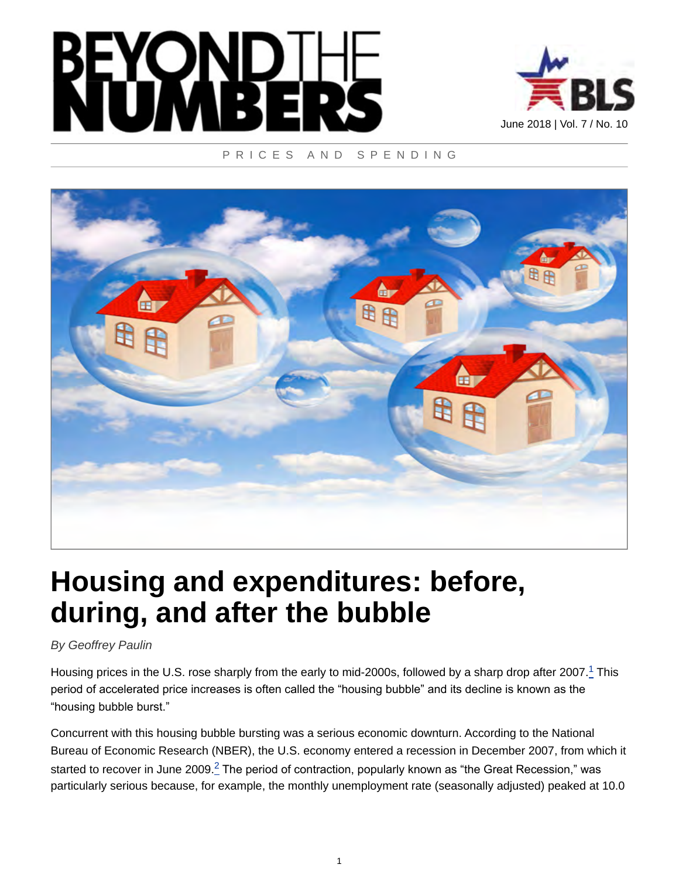



#### PRICES AND SPENDING



# **Housing and expenditures: before, during, and after the bubble**

*By Geoffrey Paulin*

<span id="page-0-0"></span>Housing prices in the U.S. rose sharply from the early to mid-2000s, followed by a sharp drop after 2007. $^1$  $^1$  This period of accelerated price increases is often called the "housing bubble" and its decline is known as the "housing bubble burst."

<span id="page-0-1"></span>Concurrent with this housing bubble bursting was a serious economic downturn. According to the National Bureau of Economic Research (NBER), the U.S. economy entered a recession in December 2007, from which it started to recover in June [2](#page-19-1)009. $^2$  The period of contraction, popularly known as "the Great Recession," was particularly serious because, for example, the monthly unemployment rate (seasonally adjusted) peaked at 10.0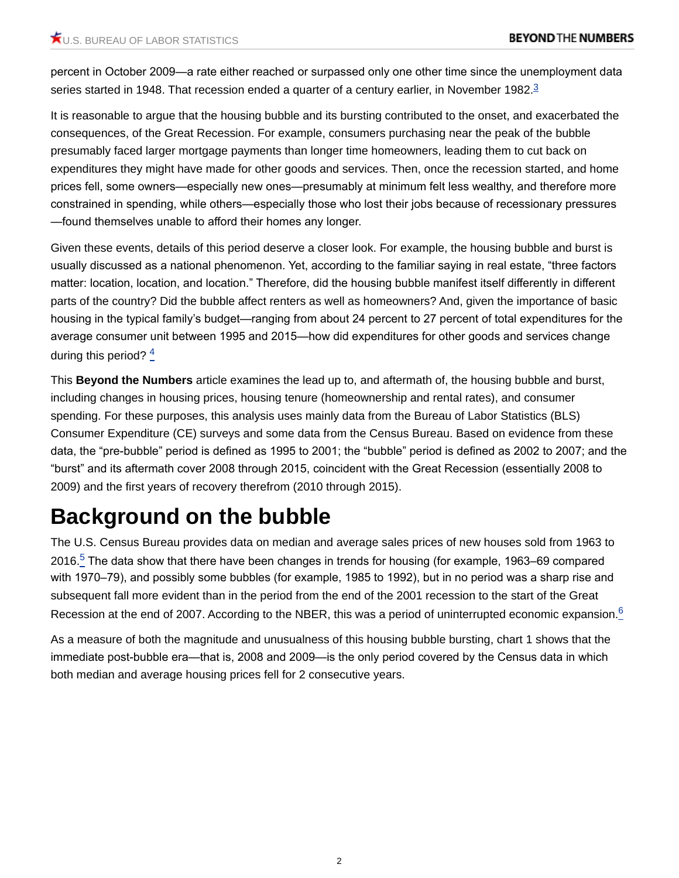<span id="page-1-0"></span>percent in October 2009—a rate either reached or surpassed only one other time since the unemployment data series started in 1948. That recession ended a quarter of a century earlier, in November 1982.<sup>[3](#page-19-2)</sup>

It is reasonable to argue that the housing bubble and its bursting contributed to the onset, and exacerbated the consequences, of the Great Recession. For example, consumers purchasing near the peak of the bubble presumably faced larger mortgage payments than longer time homeowners, leading them to cut back on expenditures they might have made for other goods and services. Then, once the recession started, and home prices fell, some owners—especially new ones—presumably at minimum felt less wealthy, and therefore more constrained in spending, while others—especially those who lost their jobs because of recessionary pressures —found themselves unable to afford their homes any longer.

Given these events, details of this period deserve a closer look. For example, the housing bubble and burst is usually discussed as a national phenomenon. Yet, according to the familiar saying in real estate, "three factors matter: location, location, and location." Therefore, did the housing bubble manifest itself differently in different parts of the country? Did the bubble affect renters as well as homeowners? And, given the importance of basic housing in the typical family's budget—ranging from about 24 percent to 27 percent of total expenditures for the average consumer unit between 1995 and 2015—how did expenditures for other goods and services change during this period? [4](#page-19-3)

<span id="page-1-1"></span>This **Beyond the Numbers** article examines the lead up to, and aftermath of, the housing bubble and burst, including changes in housing prices, housing tenure (homeownership and rental rates), and consumer spending. For these purposes, this analysis uses mainly data from the Bureau of Labor Statistics (BLS) Consumer Expenditure (CE) surveys and some data from the Census Bureau. Based on evidence from these data, the "pre-bubble" period is defined as 1995 to 2001; the "bubble" period is defined as 2002 to 2007; and the "burst" and its aftermath cover 2008 through 2015, coincident with the Great Recession (essentially 2008 to 2009) and the first years of recovery therefrom (2010 through 2015).

## **Background on the bubble**

<span id="page-1-2"></span>The U.S. Census Bureau provides data on median and average sales prices of new houses sold from 1963 to 2016.<sup>[5](#page-19-4)</sup> The data show that there have been changes in trends for housing (for example, 1963–69 compared with 1970–79), and possibly some bubbles (for example, 1985 to 1992), but in no period was a sharp rise and subsequent fall more evident than in the period from the end of the 2001 recession to the start of the Great Recession at the end of 2007. According to the NBER, this was a period of uninterrupted economic expansion.<sup>[6](#page-19-5)</sup>

<span id="page-1-3"></span>As a measure of both the magnitude and unusualness of this housing bubble bursting, chart 1 shows that the immediate post-bubble era—that is, 2008 and 2009—is the only period covered by the Census data in which both median and average housing prices fell for 2 consecutive years.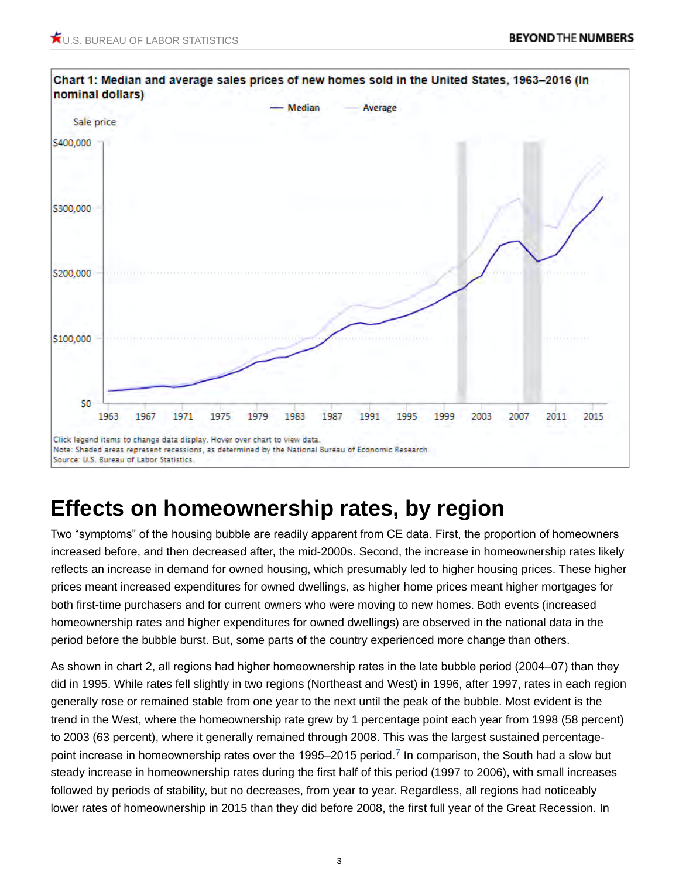

### **Effects on homeownership rates, by region**

Two "symptoms" of the housing bubble are readily apparent from CE data. First, the proportion of homeowners increased before, and then decreased after, the mid-2000s. Second, the increase in homeownership rates likely reflects an increase in demand for owned housing, which presumably led to higher housing prices. These higher prices meant increased expenditures for owned dwellings, as higher home prices meant higher mortgages for both first-time purchasers and for current owners who were moving to new homes. Both events (increased homeownership rates and higher expenditures for owned dwellings) are observed in the national data in the period before the bubble burst. But, some parts of the country experienced more change than others.

<span id="page-2-0"></span>As shown in chart 2, all regions had higher homeownership rates in the late bubble period (2004–07) than they did in 1995. While rates fell slightly in two regions (Northeast and West) in 1996, after 1997, rates in each region generally rose or remained stable from one year to the next until the peak of the bubble. Most evident is the trend in the West, where the homeownership rate grew by 1 percentage point each year from 1998 (58 percent) to 2003 (63 percent), where it generally remained through 2008. This was the largest sustained percentage-point increase in homeownership rates over the 1995–2015 period.<sup>[7](#page-19-6)</sup> In comparison, the South had a slow but steady increase in homeownership rates during the first half of this period (1997 to 2006), with small increases followed by periods of stability, but no decreases, from year to year. Regardless, all regions had noticeably lower rates of homeownership in 2015 than they did before 2008, the first full year of the Great Recession. In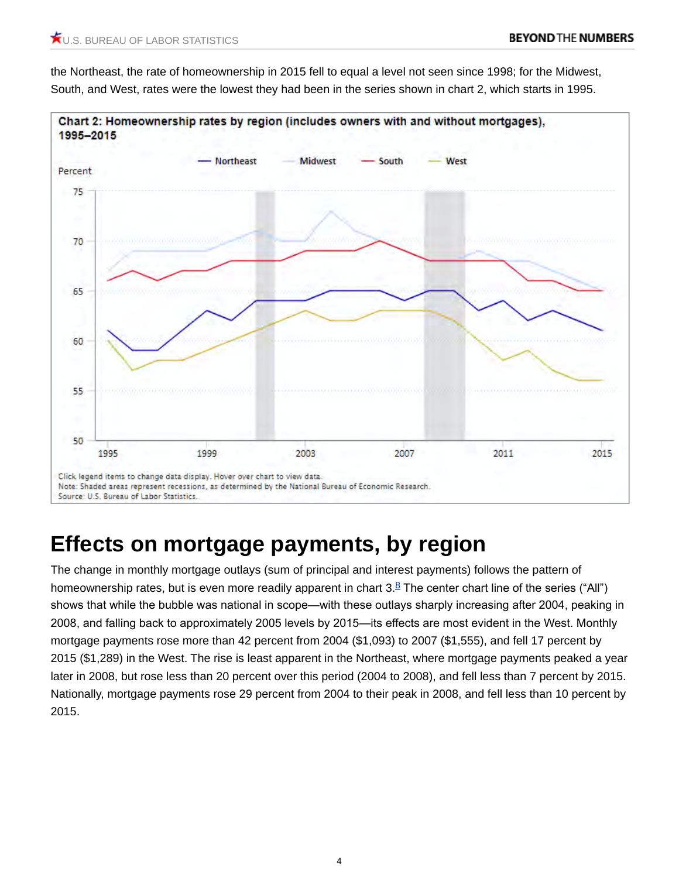the Northeast, the rate of homeownership in 2015 fell to equal a level not seen since 1998; for the Midwest, South, and West, rates were the lowest they had been in the series shown in chart 2, which starts in 1995.



## **Effects on mortgage payments, by region**

<span id="page-3-0"></span>The change in monthly mortgage outlays (sum of principal and interest payments) follows the pattern of homeownership rates, but is even more readily apparent in chart  $3.8$  $3.8$  The center chart line of the series ("All") shows that while the bubble was national in scope—with these outlays sharply increasing after 2004, peaking in 2008, and falling back to approximately 2005 levels by 2015—its effects are most evident in the West. Monthly mortgage payments rose more than 42 percent from 2004 (\$1,093) to 2007 (\$1,555), and fell 17 percent by 2015 (\$1,289) in the West. The rise is least apparent in the Northeast, where mortgage payments peaked a year later in 2008, but rose less than 20 percent over this period (2004 to 2008), and fell less than 7 percent by 2015. Nationally, mortgage payments rose 29 percent from 2004 to their peak in 2008, and fell less than 10 percent by 2015.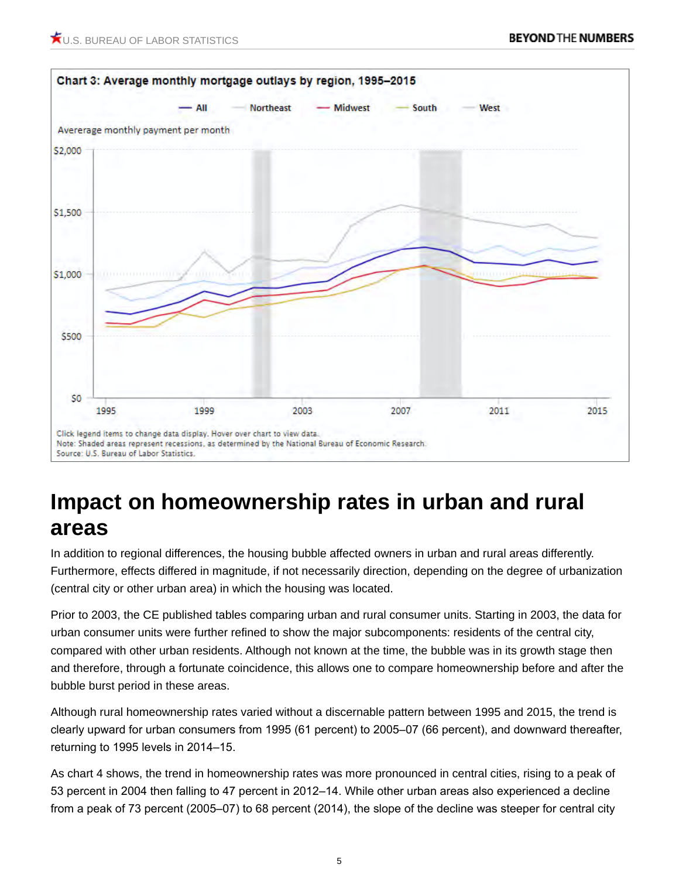

### **Impact on homeownership rates in urban and rural areas**

In addition to regional differences, the housing bubble affected owners in urban and rural areas differently. Furthermore, effects differed in magnitude, if not necessarily direction, depending on the degree of urbanization (central city or other urban area) in which the housing was located.

Prior to 2003, the CE published tables comparing urban and rural consumer units. Starting in 2003, the data for urban consumer units were further refined to show the major subcomponents: residents of the central city, compared with other urban residents. Although not known at the time, the bubble was in its growth stage then and therefore, through a fortunate coincidence, this allows one to compare homeownership before and after the bubble burst period in these areas.

Although rural homeownership rates varied without a discernable pattern between 1995 and 2015, the trend is clearly upward for urban consumers from 1995 (61 percent) to 2005–07 (66 percent), and downward thereafter, returning to 1995 levels in 2014–15.

As chart 4 shows, the trend in homeownership rates was more pronounced in central cities, rising to a peak of 53 percent in 2004 then falling to 47 percent in 2012–14. While other urban areas also experienced a decline from a peak of 73 percent (2005–07) to 68 percent (2014), the slope of the decline was steeper for central city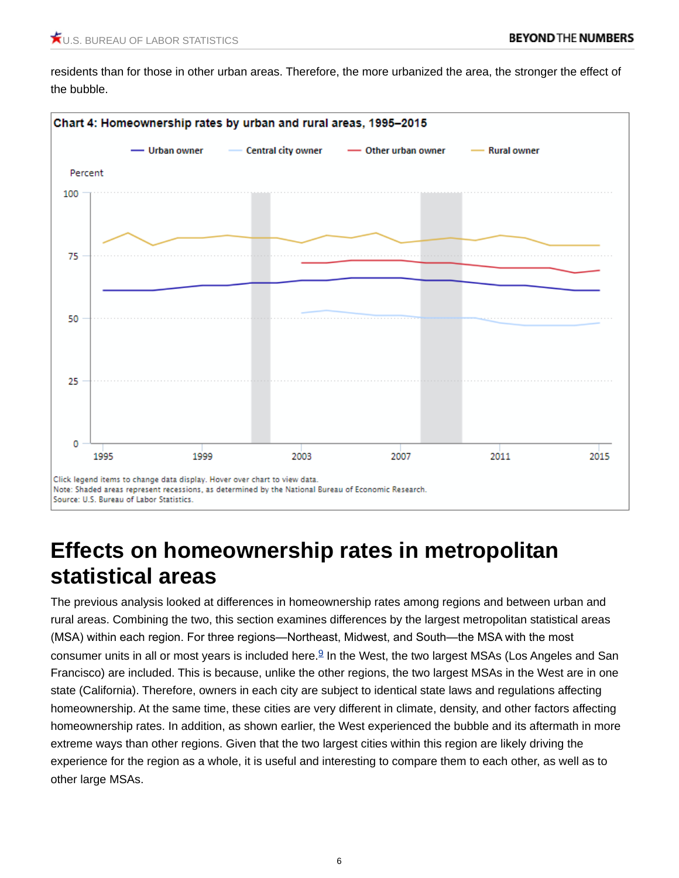residents than for those in other urban areas. Therefore, the more urbanized the area, the stronger the effect of the bubble.



#### **Effects on homeownership rates in metropolitan statistical areas**

<span id="page-5-0"></span>The previous analysis looked at differences in homeownership rates among regions and between urban and rural areas. Combining the two, this section examines differences by the largest metropolitan statistical areas (MSA) within each region. For three regions—Northeast, Midwest, and South—the MSA with the most consumer units in all or most years is included here.<sup>[9](#page-20-0)</sup> In the West, the two largest MSAs (Los Angeles and San Francisco) are included. This is because, unlike the other regions, the two largest MSAs in the West are in one state (California). Therefore, owners in each city are subject to identical state laws and regulations affecting homeownership. At the same time, these cities are very different in climate, density, and other factors affecting homeownership rates. In addition, as shown earlier, the West experienced the bubble and its aftermath in more extreme ways than other regions. Given that the two largest cities within this region are likely driving the experience for the region as a whole, it is useful and interesting to compare them to each other, as well as to other large MSAs.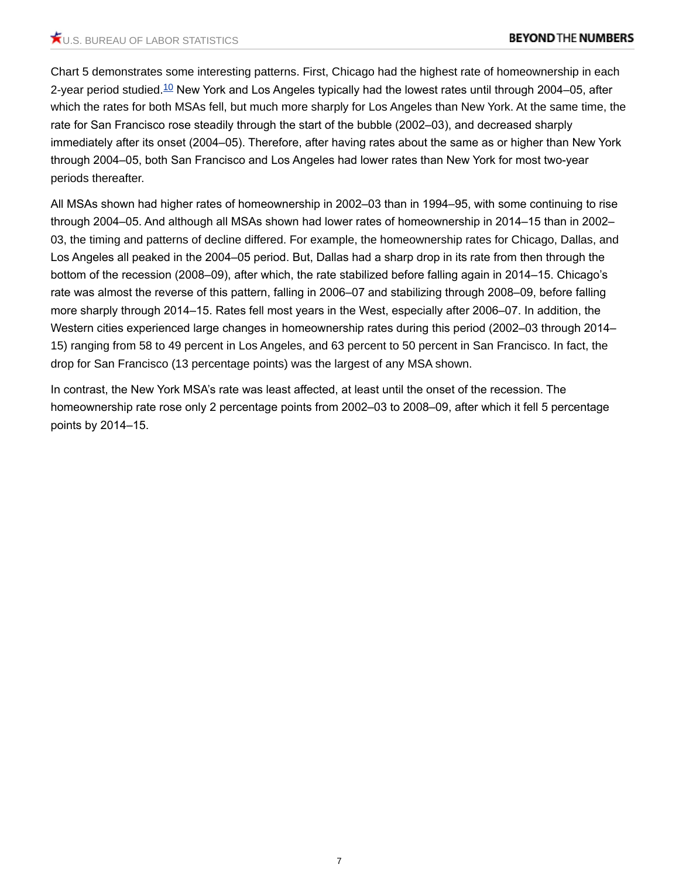<span id="page-6-0"></span>Chart 5 demonstrates some interesting patterns. First, Chicago had the highest rate of homeownership in each 2-year period studied.<sup>[10](#page-20-1)</sup> New York and Los Angeles typically had the lowest rates until through 2004–05, after which the rates for both MSAs fell, but much more sharply for Los Angeles than New York. At the same time, the rate for San Francisco rose steadily through the start of the bubble (2002–03), and decreased sharply immediately after its onset (2004–05). Therefore, after having rates about the same as or higher than New York through 2004–05, both San Francisco and Los Angeles had lower rates than New York for most two-year periods thereafter.

All MSAs shown had higher rates of homeownership in 2002–03 than in 1994–95, with some continuing to rise through 2004–05. And although all MSAs shown had lower rates of homeownership in 2014–15 than in 2002– 03, the timing and patterns of decline differed. For example, the homeownership rates for Chicago, Dallas, and Los Angeles all peaked in the 2004–05 period. But, Dallas had a sharp drop in its rate from then through the bottom of the recession (2008–09), after which, the rate stabilized before falling again in 2014–15. Chicago's rate was almost the reverse of this pattern, falling in 2006–07 and stabilizing through 2008–09, before falling more sharply through 2014–15. Rates fell most years in the West, especially after 2006–07. In addition, the Western cities experienced large changes in homeownership rates during this period (2002–03 through 2014– 15) ranging from 58 to 49 percent in Los Angeles, and 63 percent to 50 percent in San Francisco. In fact, the drop for San Francisco (13 percentage points) was the largest of any MSA shown.

In contrast, the New York MSA's rate was least affected, at least until the onset of the recession. The homeownership rate rose only 2 percentage points from 2002–03 to 2008–09, after which it fell 5 percentage points by 2014–15.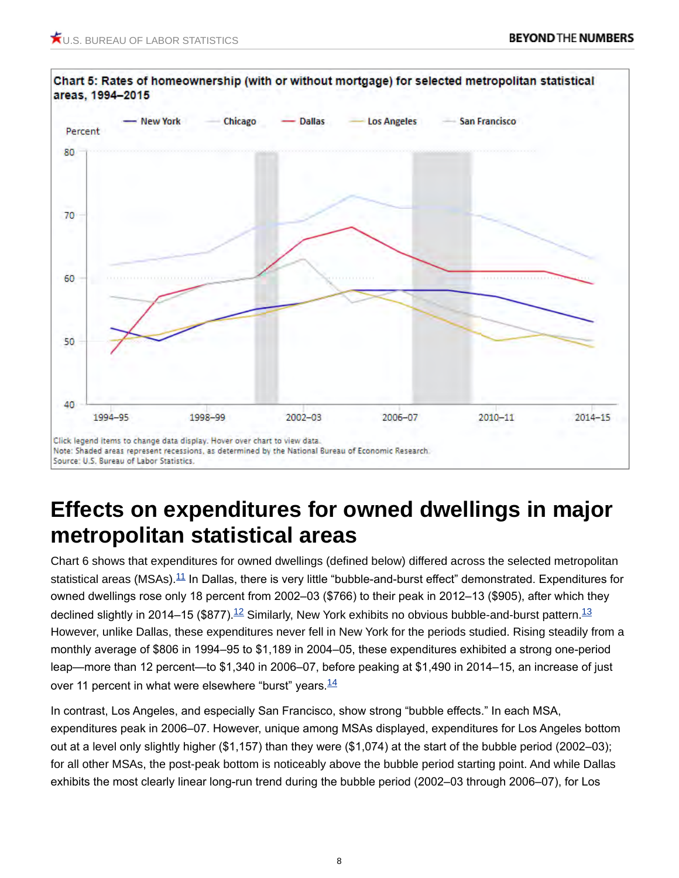

### **Effects on expenditures for owned dwellings in major metropolitan statistical areas**

<span id="page-7-2"></span><span id="page-7-1"></span><span id="page-7-0"></span>Chart 6 shows that expenditures for owned dwellings (defined below) differed across the selected metropolitan statistical areas (MSAs).<sup>[11](#page-20-2)</sup> In Dallas, there is very little "bubble-and-burst effect" demonstrated. Expenditures for owned dwellings rose only 18 percent from 2002–03 (\$766) to their peak in 2012–13 (\$905), after which they declined slightly in 2014–15 (\$877).<sup>[12](#page-20-3)</sup> Similarly, New York exhibits no obvious bubble-and-burst pattern.<sup>[13](#page-20-4)</sup> However, unlike Dallas, these expenditures never fell in New York for the periods studied. Rising steadily from a monthly average of \$806 in 1994–95 to \$1,189 in 2004–05, these expenditures exhibited a strong one-period leap—more than 12 percent—to \$1,340 in 2006–07, before peaking at \$1,490 in 2014–15, an increase of just over 11 percent in what were elsewhere "burst" years.  $\frac{14}{1}$  $\frac{14}{1}$  $\frac{14}{1}$ 

<span id="page-7-3"></span>In contrast, Los Angeles, and especially San Francisco, show strong "bubble effects." In each MSA, expenditures peak in 2006–07. However, unique among MSAs displayed, expenditures for Los Angeles bottom out at a level only slightly higher (\$1,157) than they were (\$1,074) at the start of the bubble period (2002–03); for all other MSAs, the post-peak bottom is noticeably above the bubble period starting point. And while Dallas exhibits the most clearly linear long-run trend during the bubble period (2002–03 through 2006–07), for Los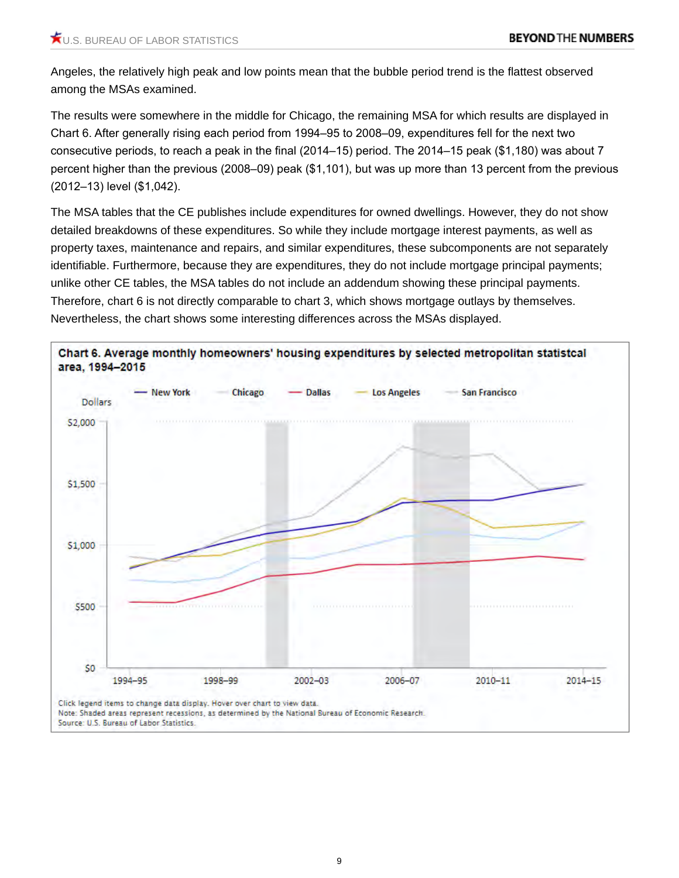Angeles, the relatively high peak and low points mean that the bubble period trend is the flattest observed among the MSAs examined.

The results were somewhere in the middle for Chicago, the remaining MSA for which results are displayed in Chart 6. After generally rising each period from 1994–95 to 2008–09, expenditures fell for the next two consecutive periods, to reach a peak in the final (2014–15) period. The 2014–15 peak (\$1,180) was about 7 percent higher than the previous (2008–09) peak (\$1,101), but was up more than 13 percent from the previous (2012–13) level (\$1,042).

The MSA tables that the CE publishes include expenditures for owned dwellings. However, they do not show detailed breakdowns of these expenditures. So while they include mortgage interest payments, as well as property taxes, maintenance and repairs, and similar expenditures, these subcomponents are not separately identifiable. Furthermore, because they are expenditures, they do not include mortgage principal payments; unlike other CE tables, the MSA tables do not include an addendum showing these principal payments. Therefore, chart 6 is not directly comparable to chart 3, which shows mortgage outlays by themselves. Nevertheless, the chart shows some interesting differences across the MSAs displayed.

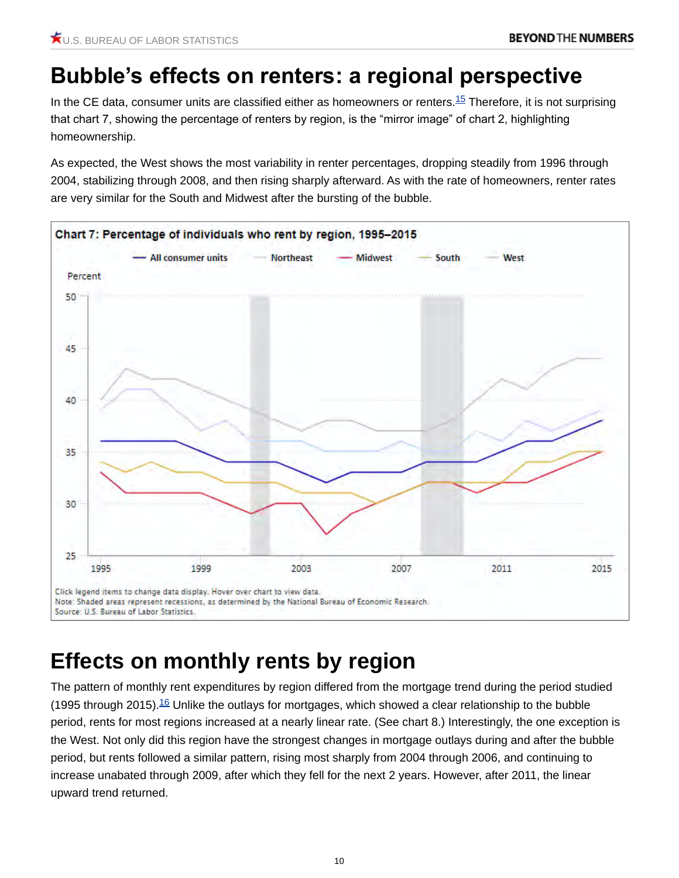## **Bubble's effects on renters: a regional perspective**

<span id="page-9-0"></span>In the CE data, consumer units are classified either as homeowners or renters.<sup>[15](#page-21-0)</sup> Therefore, it is not surprising that chart 7, showing the percentage of renters by region, is the "mirror image" of chart 2, highlighting homeownership.

As expected, the West shows the most variability in renter percentages, dropping steadily from 1996 through 2004, stabilizing through 2008, and then rising sharply afterward. As with the rate of homeowners, renter rates are very similar for the South and Midwest after the bursting of the bubble.



## **Effects on monthly rents by region**

<span id="page-9-1"></span>The pattern of monthly rent expenditures by region differed from the mortgage trend during the period studied (1995 through 2015).<sup>[16](#page-21-1)</sup> Unlike the outlays for mortgages, which showed a clear relationship to the bubble period, rents for most regions increased at a nearly linear rate. (See chart 8.) Interestingly, the one exception is the West. Not only did this region have the strongest changes in mortgage outlays during and after the bubble period, but rents followed a similar pattern, rising most sharply from 2004 through 2006, and continuing to increase unabated through 2009, after which they fell for the next 2 years. However, after 2011, the linear upward trend returned.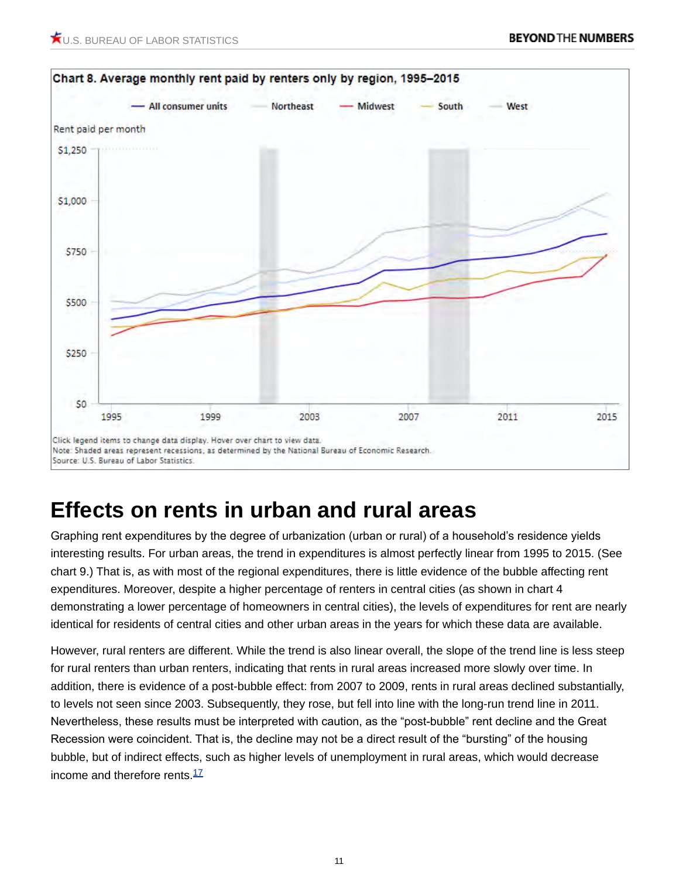

#### **Effects on rents in urban and rural areas**

Graphing rent expenditures by the degree of urbanization (urban or rural) of a household's residence yields interesting results. For urban areas, the trend in expenditures is almost perfectly linear from 1995 to 2015. (See chart 9.) That is, as with most of the regional expenditures, there is little evidence of the bubble affecting rent expenditures. Moreover, despite a higher percentage of renters in central cities (as shown in chart 4 demonstrating a lower percentage of homeowners in central cities), the levels of expenditures for rent are nearly identical for residents of central cities and other urban areas in the years for which these data are available.

<span id="page-10-0"></span>However, rural renters are different. While the trend is also linear overall, the slope of the trend line is less steep for rural renters than urban renters, indicating that rents in rural areas increased more slowly over time. In addition, there is evidence of a post-bubble effect: from 2007 to 2009, rents in rural areas declined substantially, to levels not seen since 2003. Subsequently, they rose, but fell into line with the long-run trend line in 2011. Nevertheless, these results must be interpreted with caution, as the "post-bubble" rent decline and the Great Recession were coincident. That is, the decline may not be a direct result of the "bursting" of the housing bubble, but of indirect effects, such as higher levels of unemployment in rural areas, which would decrease income and therefore rents. $\frac{17}{1}$  $\frac{17}{1}$  $\frac{17}{1}$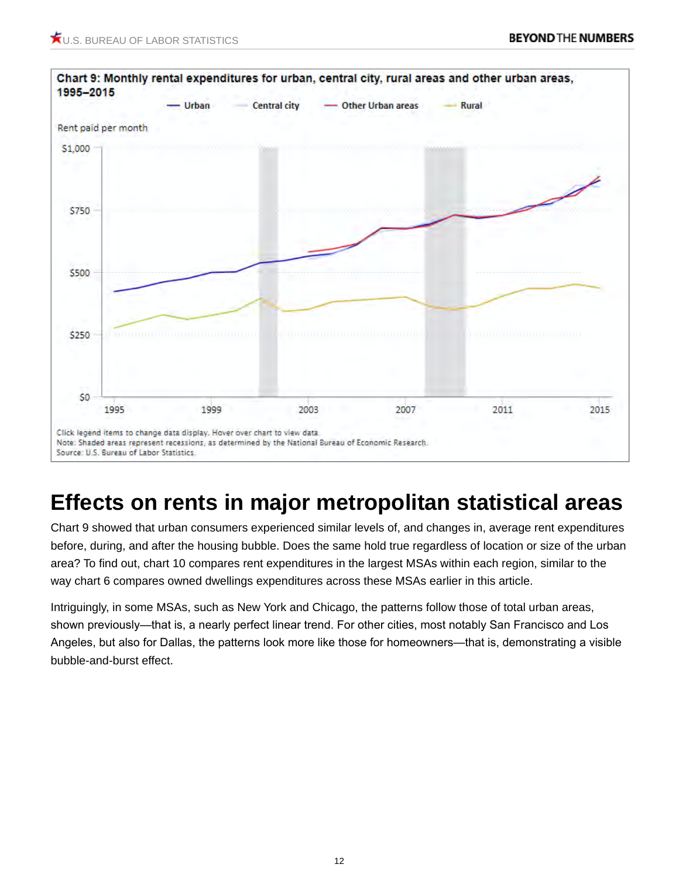

### **Effects on rents in major metropolitan statistical areas**

Chart 9 showed that urban consumers experienced similar levels of, and changes in, average rent expenditures before, during, and after the housing bubble. Does the same hold true regardless of location or size of the urban area? To find out, chart 10 compares rent expenditures in the largest MSAs within each region, similar to the way chart 6 compares owned dwellings expenditures across these MSAs earlier in this article.

Intriguingly, in some MSAs, such as New York and Chicago, the patterns follow those of total urban areas, shown previously—that is, a nearly perfect linear trend. For other cities, most notably San Francisco and Los Angeles, but also for Dallas, the patterns look more like those for homeowners—that is, demonstrating a visible bubble-and-burst effect.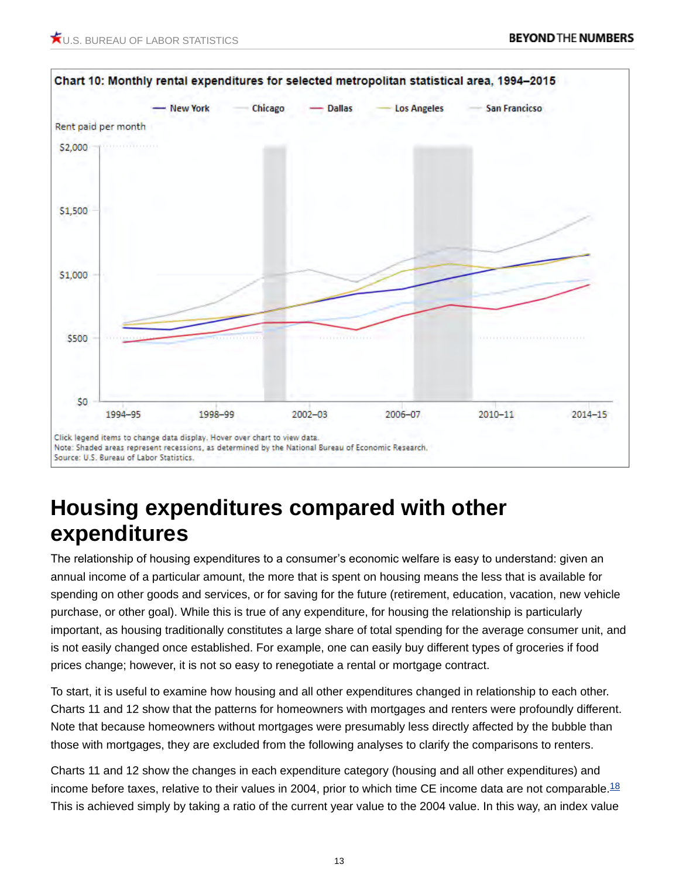

#### **Housing expenditures compared with other expenditures**

The relationship of housing expenditures to a consumer's economic welfare is easy to understand: given an annual income of a particular amount, the more that is spent on housing means the less that is available for spending on other goods and services, or for saving for the future (retirement, education, vacation, new vehicle purchase, or other goal). While this is true of any expenditure, for housing the relationship is particularly important, as housing traditionally constitutes a large share of total spending for the average consumer unit, and is not easily changed once established. For example, one can easily buy different types of groceries if food prices change; however, it is not so easy to renegotiate a rental or mortgage contract.

To start, it is useful to examine how housing and all other expenditures changed in relationship to each other. Charts 11 and 12 show that the patterns for homeowners with mortgages and renters were profoundly different. Note that because homeowners without mortgages were presumably less directly affected by the bubble than those with mortgages, they are excluded from the following analyses to clarify the comparisons to renters.

<span id="page-12-0"></span>Charts 11 and 12 show the changes in each expenditure category (housing and all other expenditures) and income before taxes, relative to their values in 2004, prior to which time CE income data are not comparable. $^{18}$  $^{18}$  $^{18}$ This is achieved simply by taking a ratio of the current year value to the 2004 value. In this way, an index value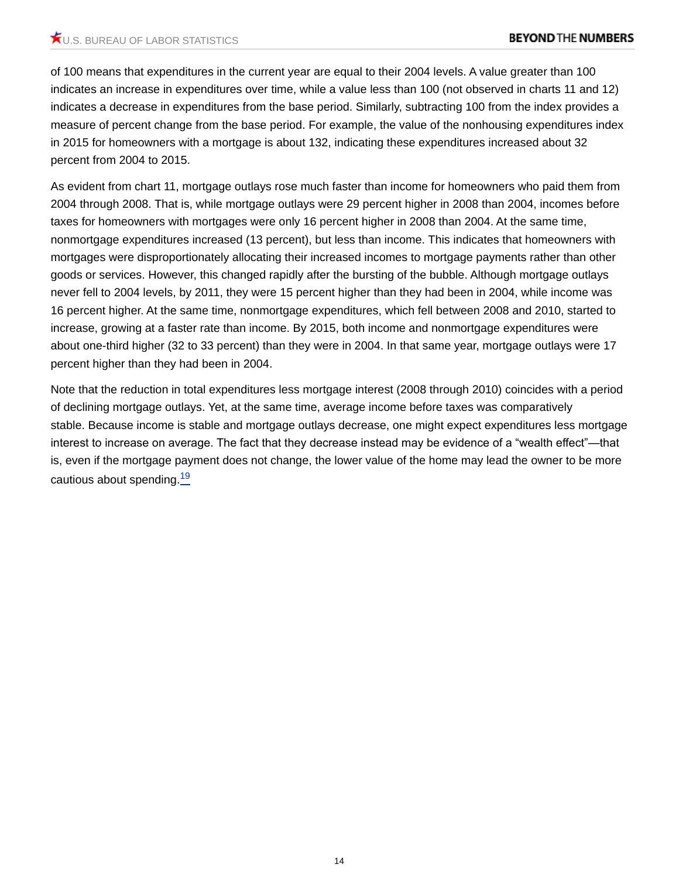of 100 means that expenditures in the current year are equal to their 2004 levels. A value greater than 100 indicates an increase in expenditures over time, while a value less than 100 (not observed in charts 11 and 12) indicates a decrease in expenditures from the base period. Similarly, subtracting 100 from the index provides a measure of percent change from the base period. For example, the value of the nonhousing expenditures index in 2015 for homeowners with a mortgage is about 132, indicating these expenditures increased about 32 percent from 2004 to 2015.

As evident from chart 11, mortgage outlays rose much faster than income for homeowners who paid them from 2004 through 2008. That is, while mortgage outlays were 29 percent higher in 2008 than 2004, incomes before taxes for homeowners with mortgages were only 16 percent higher in 2008 than 2004. At the same time, nonmortgage expenditures increased (13 percent), but less than income. This indicates that homeowners with mortgages were disproportionately allocating their increased incomes to mortgage payments rather than other goods or services. However, this changed rapidly after the bursting of the bubble. Although mortgage outlays never fell to 2004 levels, by 2011, they were 15 percent higher than they had been in 2004, while income was 16 percent higher. At the same time, nonmortgage expenditures, which fell between 2008 and 2010, started to increase, growing at a faster rate than income. By 2015, both income and nonmortgage expenditures were about one-third higher (32 to 33 percent) than they were in 2004. In that same year, mortgage outlays were 17 percent higher than they had been in 2004.

<span id="page-13-0"></span>Note that the reduction in total expenditures less mortgage interest (2008 through 2010) coincides with a period of declining mortgage outlays. Yet, at the same time, average income before taxes was comparatively stable. Because income is stable and mortgage outlays decrease, one might expect expenditures less mortgage interest to increase on average. The fact that they decrease instead may be evidence of a "wealth effect"—that is, even if the mortgage payment does not change, the lower value of the home may lead the owner to be more cautious about spending.<sup>[19](#page-22-0)</sup>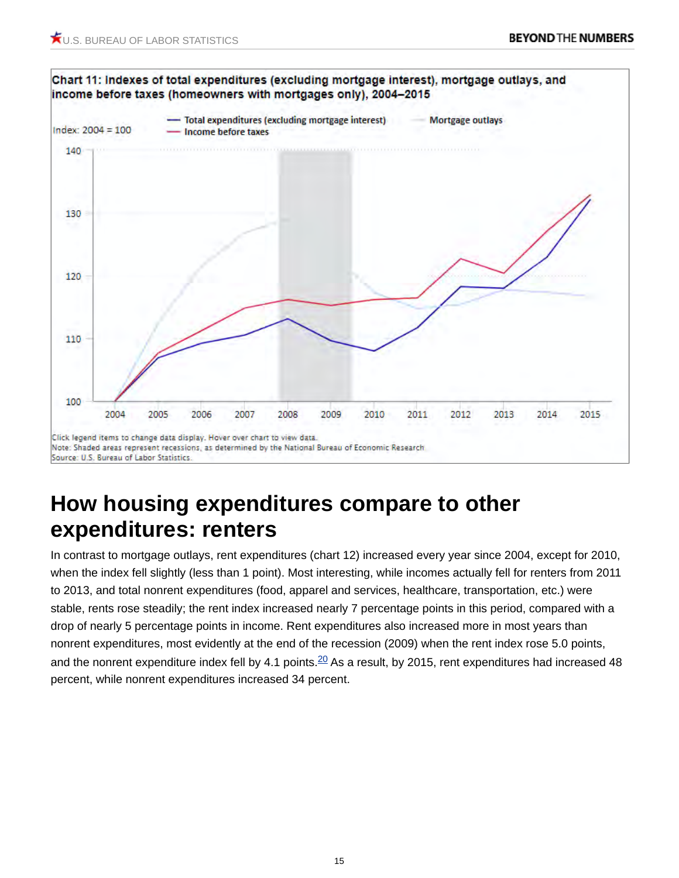

#### **How housing expenditures compare to other expenditures: renters**

<span id="page-14-0"></span>In contrast to mortgage outlays, rent expenditures (chart 12) increased every year since 2004, except for 2010, when the index fell slightly (less than 1 point). Most interesting, while incomes actually fell for renters from 2011 to 2013, and total nonrent expenditures (food, apparel and services, healthcare, transportation, etc.) were stable, rents rose steadily; the rent index increased nearly 7 percentage points in this period, compared with a drop of nearly 5 percentage points in income. Rent expenditures also increased more in most years than nonrent expenditures, most evidently at the end of the recession (2009) when the rent index rose 5.0 points, and the nonrent expenditure index fell by 4.1 points.  $20$  As a result, by 2015, rent expenditures had increased 48 percent, while nonrent expenditures increased 34 percent.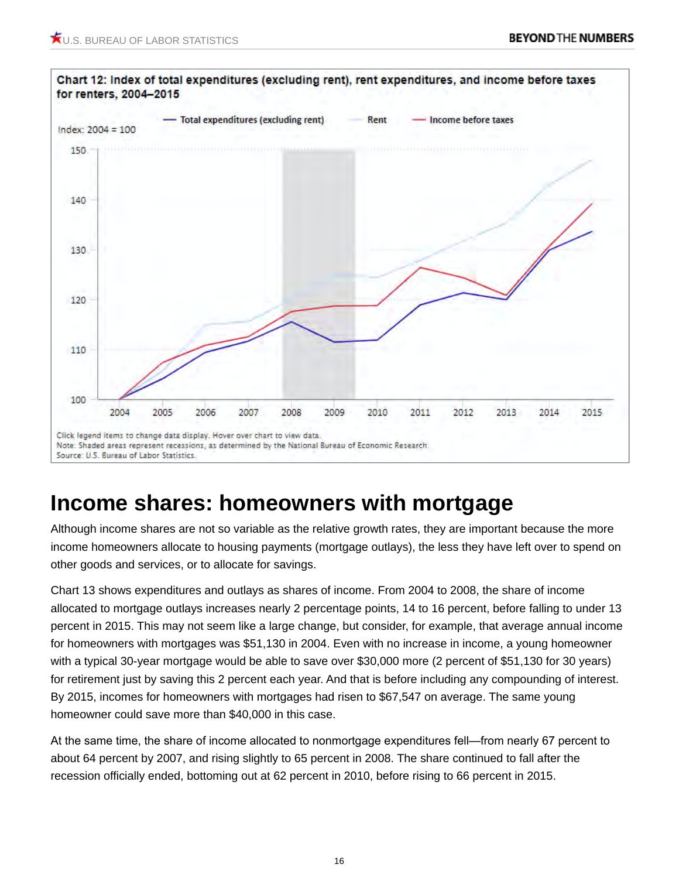

#### **Income shares: homeowners with mortgage**

Although income shares are not so variable as the relative growth rates, they are important because the more income homeowners allocate to housing payments (mortgage outlays), the less they have left over to spend on other goods and services, or to allocate for savings.

Chart 13 shows expenditures and outlays as shares of income. From 2004 to 2008, the share of income allocated to mortgage outlays increases nearly 2 percentage points, 14 to 16 percent, before falling to under 13 percent in 2015. This may not seem like a large change, but consider, for example, that average annual income for homeowners with mortgages was \$51,130 in 2004. Even with no increase in income, a young homeowner with a typical 30-year mortgage would be able to save over \$30,000 more (2 percent of \$51,130 for 30 years) for retirement just by saving this 2 percent each year. And that is before including any compounding of interest. By 2015, incomes for homeowners with mortgages had risen to \$67,547 on average. The same young homeowner could save more than \$40,000 in this case.

At the same time, the share of income allocated to nonmortgage expenditures fell—from nearly 67 percent to about 64 percent by 2007, and rising slightly to 65 percent in 2008. The share continued to fall after the recession officially ended, bottoming out at 62 percent in 2010, before rising to 66 percent in 2015.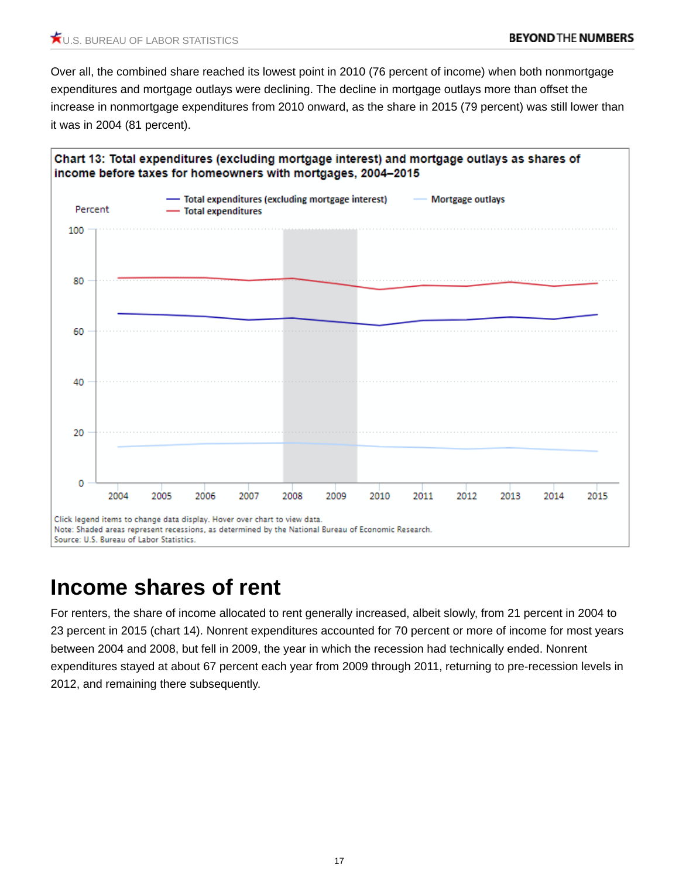Over all, the combined share reached its lowest point in 2010 (76 percent of income) when both nonmortgage expenditures and mortgage outlays were declining. The decline in mortgage outlays more than offset the increase in nonmortgage expenditures from 2010 onward, as the share in 2015 (79 percent) was still lower than it was in 2004 (81 percent).



#### **Income shares of rent**

For renters, the share of income allocated to rent generally increased, albeit slowly, from 21 percent in 2004 to 23 percent in 2015 (chart 14). Nonrent expenditures accounted for 70 percent or more of income for most years between 2004 and 2008, but fell in 2009, the year in which the recession had technically ended. Nonrent expenditures stayed at about 67 percent each year from 2009 through 2011, returning to pre-recession levels in 2012, and remaining there subsequently.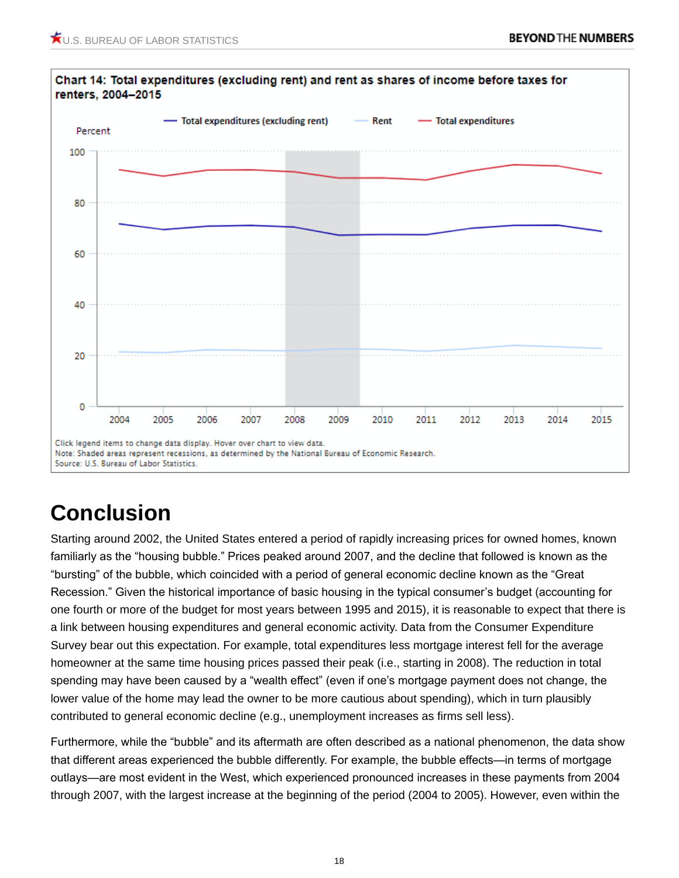

## **Conclusion**

Starting around 2002, the United States entered a period of rapidly increasing prices for owned homes, known familiarly as the "housing bubble." Prices peaked around 2007, and the decline that followed is known as the "bursting" of the bubble, which coincided with a period of general economic decline known as the "Great Recession." Given the historical importance of basic housing in the typical consumer's budget (accounting for one fourth or more of the budget for most years between 1995 and 2015), it is reasonable to expect that there is a link between housing expenditures and general economic activity. Data from the Consumer Expenditure Survey bear out this expectation. For example, total expenditures less mortgage interest fell for the average homeowner at the same time housing prices passed their peak (i.e., starting in 2008). The reduction in total spending may have been caused by a "wealth effect" (even if one's mortgage payment does not change, the lower value of the home may lead the owner to be more cautious about spending), which in turn plausibly contributed to general economic decline (e.g., unemployment increases as firms sell less).

Furthermore, while the "bubble" and its aftermath are often described as a national phenomenon, the data show that different areas experienced the bubble differently. For example, the bubble effects—in terms of mortgage outlays—are most evident in the West, which experienced pronounced increases in these payments from 2004 through 2007, with the largest increase at the beginning of the period (2004 to 2005). However, even within the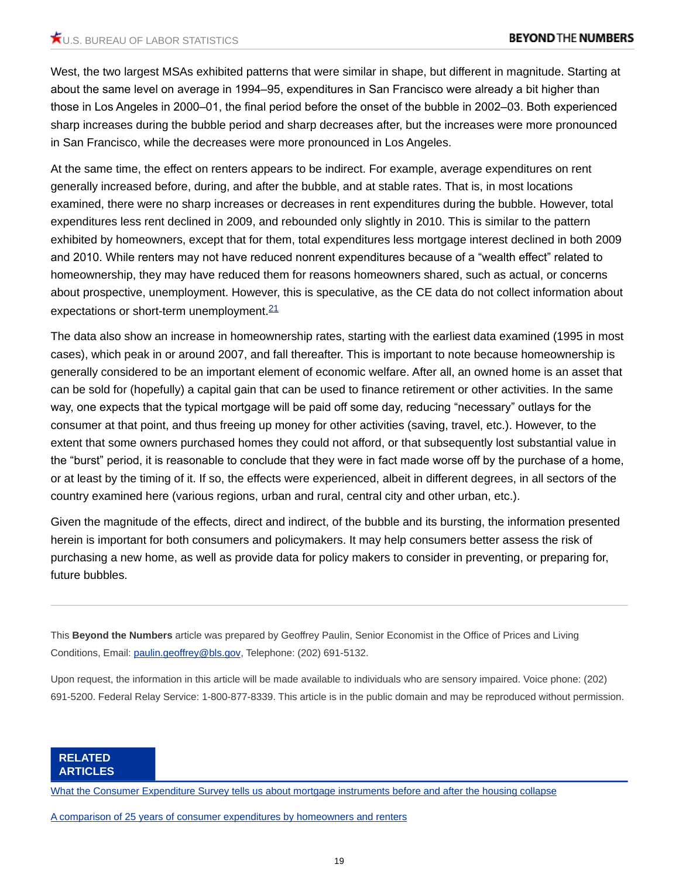West, the two largest MSAs exhibited patterns that were similar in shape, but different in magnitude. Starting at about the same level on average in 1994–95, expenditures in San Francisco were already a bit higher than those in Los Angeles in 2000–01, the final period before the onset of the bubble in 2002–03. Both experienced sharp increases during the bubble period and sharp decreases after, but the increases were more pronounced in San Francisco, while the decreases were more pronounced in Los Angeles.

At the same time, the effect on renters appears to be indirect. For example, average expenditures on rent generally increased before, during, and after the bubble, and at stable rates. That is, in most locations examined, there were no sharp increases or decreases in rent expenditures during the bubble. However, total expenditures less rent declined in 2009, and rebounded only slightly in 2010. This is similar to the pattern exhibited by homeowners, except that for them, total expenditures less mortgage interest declined in both 2009 and 2010. While renters may not have reduced nonrent expenditures because of a "wealth effect" related to homeownership, they may have reduced them for reasons homeowners shared, such as actual, or concerns about prospective, unemployment. However, this is speculative, as the CE data do not collect information about expectations or short-term unemployment.<sup>[21](#page-22-2)</sup>

<span id="page-18-0"></span>The data also show an increase in homeownership rates, starting with the earliest data examined (1995 in most cases), which peak in or around 2007, and fall thereafter. This is important to note because homeownership is generally considered to be an important element of economic welfare. After all, an owned home is an asset that can be sold for (hopefully) a capital gain that can be used to finance retirement or other activities. In the same way, one expects that the typical mortgage will be paid off some day, reducing "necessary" outlays for the consumer at that point, and thus freeing up money for other activities (saving, travel, etc.). However, to the extent that some owners purchased homes they could not afford, or that subsequently lost substantial value in the "burst" period, it is reasonable to conclude that they were in fact made worse off by the purchase of a home, or at least by the timing of it. If so, the effects were experienced, albeit in different degrees, in all sectors of the country examined here (various regions, urban and rural, central city and other urban, etc.).

Given the magnitude of the effects, direct and indirect, of the bubble and its bursting, the information presented herein is important for both consumers and policymakers. It may help consumers better assess the risk of purchasing a new home, as well as provide data for policy makers to consider in preventing, or preparing for, future bubbles.

This **Beyond the Numbers** article was prepared by Geoffrey Paulin, Senior Economist in the Office of Prices and Living Conditions, Email: [paulin.geoffrey@bls.gov](mailto:paulin.geoffrey@bls.gov), Telephone: (202) 691-5132.

Upon request, the information in this article will be made available to individuals who are sensory impaired. Voice phone: (202) 691-5200. Federal Relay Service: 1-800-877-8339. This article is in the public domain and may be reproduced without permission.

[What the Consumer Expenditure Survey tells us about mortgage instruments before and after the housing collapse](https://www.bls.gov/opub/btn/volume-5/what-the-consumer-expenditure-survey-tells-us-about-mortgage-instruments-before-and-after-the-housing-collapse.htm)

[A comparison of 25 years of consumer expenditures by homeowners and renters](https://www.bls.gov/opub/btn/volume-1/a-comparison-of-25-years-of-consumer-expenditures-by-homeowners-and-renters.htm)

**RELATED ARTICLES**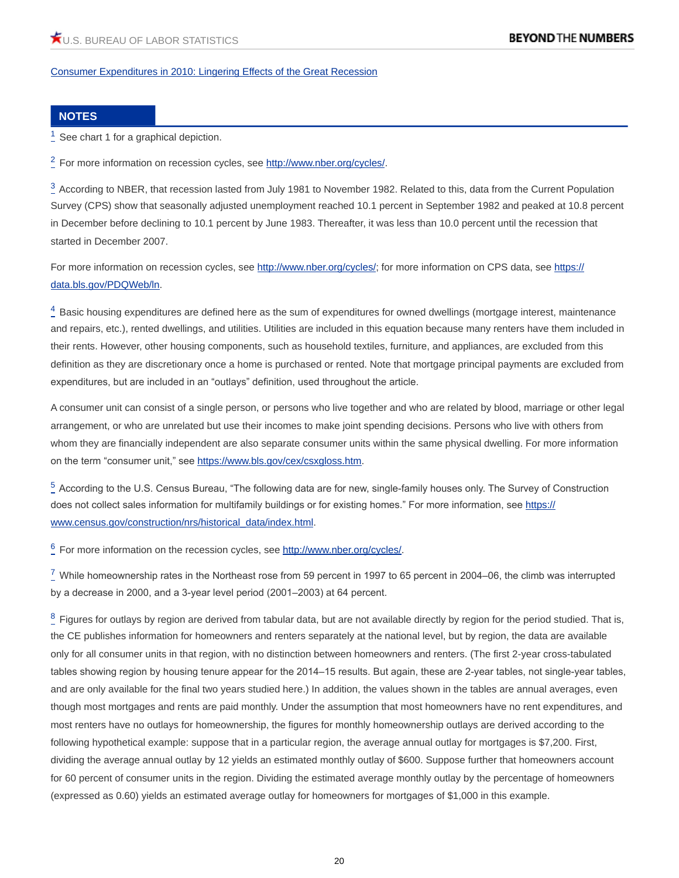[Consumer Expenditures in 2010: Lingering Effects of the Great Recession](https://www.bls.gov/cex/csxann10.pdf)

#### **NOTES**

<span id="page-19-0"></span> $1$  See chart 1 for a graphical depiction.

<span id="page-19-1"></span><sup>[2](#page-0-1)</sup> For more information on recession cycles, see<http://www.nber.org/cycles/>.

<span id="page-19-2"></span> $3$  According to NBER, that recession lasted from July 1981 to November 1982. Related to this, data from the Current Population Survey (CPS) show that seasonally adjusted unemployment reached 10.1 percent in September 1982 and peaked at 10.8 percent in December before declining to 10.1 percent by June 1983. Thereafter, it was less than 10.0 percent until the recession that started in December 2007.

For more information on recession cycles, see<http://www.nber.org/cycles/>; for more information on CPS data, see [https://](https://data.bls.gov/PDQWeb/ln) [data.bls.gov/PDQWeb/ln](https://data.bls.gov/PDQWeb/ln).

<span id="page-19-3"></span> $^4_\text{-}$  $^4_\text{-}$  $^4_\text{-}$  Basic housing expenditures are defined here as the sum of expenditures for owned dwellings (mortgage interest, maintenance and repairs, etc.), rented dwellings, and utilities. Utilities are included in this equation because many renters have them included in their rents. However, other housing components, such as household textiles, furniture, and appliances, are excluded from this definition as they are discretionary once a home is purchased or rented. Note that mortgage principal payments are excluded from expenditures, but are included in an "outlays" definition, used throughout the article.

A consumer unit can consist of a single person, or persons who live together and who are related by blood, marriage or other legal arrangement, or who are unrelated but use their incomes to make joint spending decisions. Persons who live with others from whom they are financially independent are also separate consumer units within the same physical dwelling. For more information on the term "consumer unit," see <https://www.bls.gov/cex/csxgloss.htm>.

<span id="page-19-4"></span> $5$  According to the U.S. Census Bureau, "The following data are for new, single-family houses only. The Survey of Construction does not collect sales information for multifamily buildings or for existing homes." For more information, see [https://](https://www.census.gov/construction/nrs/historical_data/index.html) [www.census.gov/construction/nrs/historical\\_data/index.html.](https://www.census.gov/construction/nrs/historical_data/index.html)

<span id="page-19-5"></span><sup>[6](#page-1-3)</sup> For more information on the recession cycles, see<http://www.nber.org/cycles/>.

<span id="page-19-6"></span> $\frac{7}{2}$  $\frac{7}{2}$  $\frac{7}{2}$  While homeownership rates in the Northeast rose from 59 percent in 1997 to 65 percent in 2004–06, the climb was interrupted by a decrease in 2000, and a 3-year level period (2001–2003) at 64 percent.

<span id="page-19-7"></span> $^8_ ^8_ ^8_-$  Figures for outlays by region are derived from tabular data, but are not available directly by region for the period studied. That is, the CE publishes information for homeowners and renters separately at the national level, but by region, the data are available only for all consumer units in that region, with no distinction between homeowners and renters. (The first 2-year cross-tabulated tables showing region by housing tenure appear for the 2014–15 results. But again, these are 2-year tables, not single-year tables, and are only available for the final two years studied here.) In addition, the values shown in the tables are annual averages, even though most mortgages and rents are paid monthly. Under the assumption that most homeowners have no rent expenditures, and most renters have no outlays for homeownership, the figures for monthly homeownership outlays are derived according to the following hypothetical example: suppose that in a particular region, the average annual outlay for mortgages is \$7,200. First, dividing the average annual outlay by 12 yields an estimated monthly outlay of \$600. Suppose further that homeowners account for 60 percent of consumer units in the region. Dividing the estimated average monthly outlay by the percentage of homeowners (expressed as 0.60) yields an estimated average outlay for homeowners for mortgages of \$1,000 in this example.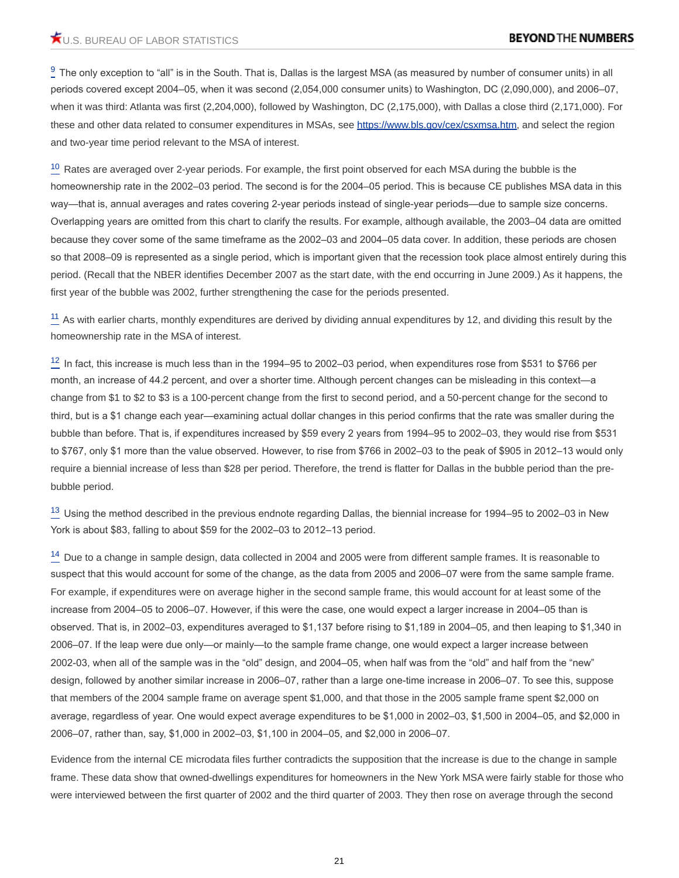<span id="page-20-0"></span> $\frac{9}{2}$  $\frac{9}{2}$  $\frac{9}{2}$  The only exception to "all" is in the South. That is, Dallas is the largest MSA (as measured by number of consumer units) in all periods covered except 2004–05, when it was second (2,054,000 consumer units) to Washington, DC (2,090,000), and 2006–07, when it was third: Atlanta was first (2,204,000), followed by Washington, DC (2,175,000), with Dallas a close third (2,171,000). For these and other data related to consumer expenditures in MSAs, see<https://www.bls.gov/cex/csxmsa.htm>, and select the region and two-year time period relevant to the MSA of interest.

<span id="page-20-1"></span><sup>[10](#page-6-0)</sup> Rates are averaged over 2-year periods. For example, the first point observed for each MSA during the bubble is the homeownership rate in the 2002–03 period. The second is for the 2004–05 period. This is because CE publishes MSA data in this way—that is, annual averages and rates covering 2-year periods instead of single-year periods—due to sample size concerns. Overlapping years are omitted from this chart to clarify the results. For example, although available, the 2003–04 data are omitted because they cover some of the same timeframe as the 2002–03 and 2004–05 data cover. In addition, these periods are chosen so that 2008–09 is represented as a single period, which is important given that the recession took place almost entirely during this period. (Recall that the NBER identifies December 2007 as the start date, with the end occurring in June 2009.) As it happens, the first year of the bubble was 2002, further strengthening the case for the periods presented.

<span id="page-20-2"></span> $\frac{11}{11}$  $\frac{11}{11}$  $\frac{11}{11}$  As with earlier charts, monthly expenditures are derived by dividing annual expenditures by 12, and dividing this result by the homeownership rate in the MSA of interest.

<span id="page-20-3"></span> $12$  In fact, this increase is much less than in the 1994–95 to 2002–03 period, when expenditures rose from \$531 to \$766 per month, an increase of 44.2 percent, and over a shorter time. Although percent changes can be misleading in this context—a change from \$1 to \$2 to \$3 is a 100-percent change from the first to second period, and a 50-percent change for the second to third, but is a \$1 change each year—examining actual dollar changes in this period confirms that the rate was smaller during the bubble than before. That is, if expenditures increased by \$59 every 2 years from 1994–95 to 2002–03, they would rise from \$531 to \$767, only \$1 more than the value observed. However, to rise from \$766 in 2002–03 to the peak of \$905 in 2012–13 would only require a biennial increase of less than \$28 per period. Therefore, the trend is flatter for Dallas in the bubble period than the prebubble period.

<span id="page-20-4"></span><sup>[13](#page-7-2)</sup> Using the method described in the previous endnote regarding Dallas, the biennial increase for 1994–95 to 2002–03 in New York is about \$83, falling to about \$59 for the 2002–03 to 2012–13 period.

<span id="page-20-5"></span> $14$  Due to a change in sample design, data collected in 2004 and 2005 were from different sample frames. It is reasonable to suspect that this would account for some of the change, as the data from 2005 and 2006–07 were from the same sample frame. For example, if expenditures were on average higher in the second sample frame, this would account for at least some of the increase from 2004–05 to 2006–07. However, if this were the case, one would expect a larger increase in 2004–05 than is observed. That is, in 2002–03, expenditures averaged to \$1,137 before rising to \$1,189 in 2004–05, and then leaping to \$1,340 in 2006–07. If the leap were due only—or mainly—to the sample frame change, one would expect a larger increase between 2002-03, when all of the sample was in the "old" design, and 2004–05, when half was from the "old" and half from the "new" design, followed by another similar increase in 2006–07, rather than a large one-time increase in 2006–07. To see this, suppose that members of the 2004 sample frame on average spent \$1,000, and that those in the 2005 sample frame spent \$2,000 on average, regardless of year. One would expect average expenditures to be \$1,000 in 2002–03, \$1,500 in 2004–05, and \$2,000 in 2006–07, rather than, say, \$1,000 in 2002–03, \$1,100 in 2004–05, and \$2,000 in 2006–07.

Evidence from the internal CE microdata files further contradicts the supposition that the increase is due to the change in sample frame. These data show that owned-dwellings expenditures for homeowners in the New York MSA were fairly stable for those who were interviewed between the first quarter of 2002 and the third quarter of 2003. They then rose on average through the second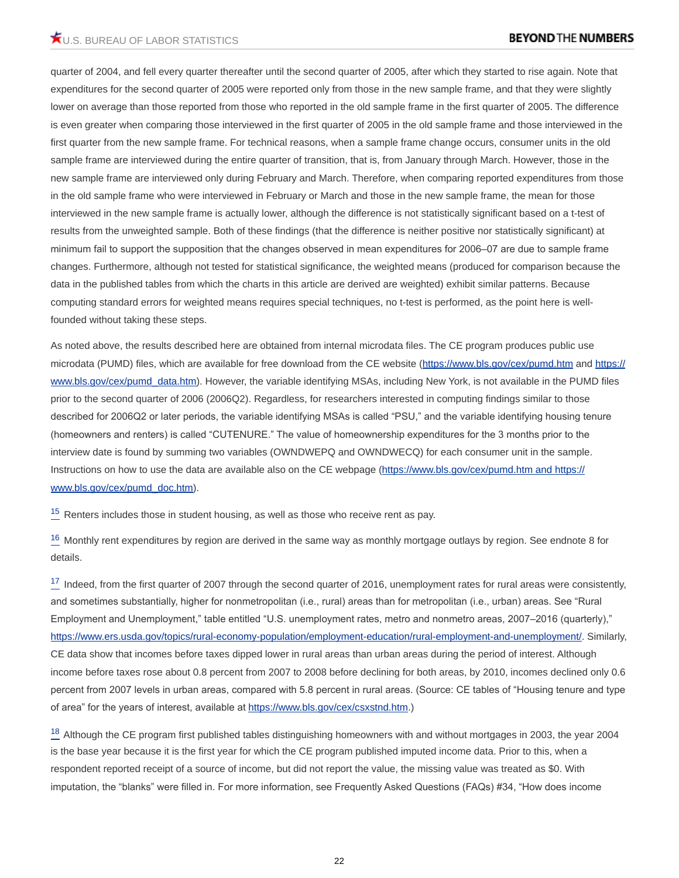quarter of 2004, and fell every quarter thereafter until the second quarter of 2005, after which they started to rise again. Note that expenditures for the second quarter of 2005 were reported only from those in the new sample frame, and that they were slightly lower on average than those reported from those who reported in the old sample frame in the first quarter of 2005. The difference is even greater when comparing those interviewed in the first quarter of 2005 in the old sample frame and those interviewed in the first quarter from the new sample frame. For technical reasons, when a sample frame change occurs, consumer units in the old sample frame are interviewed during the entire quarter of transition, that is, from January through March. However, those in the new sample frame are interviewed only during February and March. Therefore, when comparing reported expenditures from those in the old sample frame who were interviewed in February or March and those in the new sample frame, the mean for those interviewed in the new sample frame is actually lower, although the difference is not statistically significant based on a t-test of results from the unweighted sample. Both of these findings (that the difference is neither positive nor statistically significant) at minimum fail to support the supposition that the changes observed in mean expenditures for 2006–07 are due to sample frame changes. Furthermore, although not tested for statistical significance, the weighted means (produced for comparison because the data in the published tables from which the charts in this article are derived are weighted) exhibit similar patterns. Because computing standard errors for weighted means requires special techniques, no t-test is performed, as the point here is wellfounded without taking these steps.

As noted above, the results described here are obtained from internal microdata files. The CE program produces public use microdata (PUMD) files, which are available for free download from the CE website [\(https://www.bls.gov/cex/pumd.htm](https://www.bls.gov/cex/pumd.htm) and [https://](https://www.bls.gov/cex/pumd_data.htm) [www.bls.gov/cex/pumd\\_data.htm](https://www.bls.gov/cex/pumd_data.htm)). However, the variable identifying MSAs, including New York, is not available in the PUMD files prior to the second quarter of 2006 (2006Q2). Regardless, for researchers interested in computing findings similar to those described for 2006Q2 or later periods, the variable identifying MSAs is called "PSU," and the variable identifying housing tenure (homeowners and renters) is called "CUTENURE." The value of homeownership expenditures for the 3 months prior to the interview date is found by summing two variables (OWNDWEPQ and OWNDWECQ) for each consumer unit in the sample. Instructions on how to use the data are available also on the CE webpage ([https://www.bls.gov/cex/pumd.htm and https://](https://www.bls.gov/cex/pumd.htm and https://www.bls.gov/cex/pumd_doc.htm) [www.bls.gov/cex/pumd\\_doc.htm](https://www.bls.gov/cex/pumd.htm and https://www.bls.gov/cex/pumd_doc.htm)).

<span id="page-21-0"></span> $15$  Renters includes those in student housing, as well as those who receive rent as pay.

<span id="page-21-1"></span><sup>[16](#page-9-1)</sup> Monthly rent expenditures by region are derived in the same way as monthly mortgage outlays by region. See endnote 8 for details.

<span id="page-21-2"></span> $17$  Indeed, from the first quarter of 2007 through the second quarter of 2016, unemployment rates for rural areas were consistently, and sometimes substantially, higher for nonmetropolitan (i.e., rural) areas than for metropolitan (i.e., urban) areas. See "Rural Employment and Unemployment," table entitled "U.S. unemployment rates, metro and nonmetro areas, 2007–2016 (quarterly)," [https://www.ers.usda.gov/topics/rural-economy-population/employment-education/rural-employment-and-unemployment/.](https://www.ers.usda.gov/topics/rural-economy-population/employment-education/rural-employment-and-unemployment/) Similarly, CE data show that incomes before taxes dipped lower in rural areas than urban areas during the period of interest. Although income before taxes rose about 0.8 percent from 2007 to 2008 before declining for both areas, by 2010, incomes declined only 0.6 percent from 2007 levels in urban areas, compared with 5.8 percent in rural areas. (Source: CE tables of "Housing tenure and type of area" for the years of interest, available at <https://www.bls.gov/cex/csxstnd.htm>.)

<span id="page-21-3"></span><sup>[18](#page-12-0)</sup> Although the CE program first published tables distinguishing homeowners with and without mortgages in 2003, the year 2004 is the base year because it is the first year for which the CE program published imputed income data. Prior to this, when a respondent reported receipt of a source of income, but did not report the value, the missing value was treated as \$0. With imputation, the "blanks" were filled in. For more information, see Frequently Asked Questions (FAQs) #34, "How does income